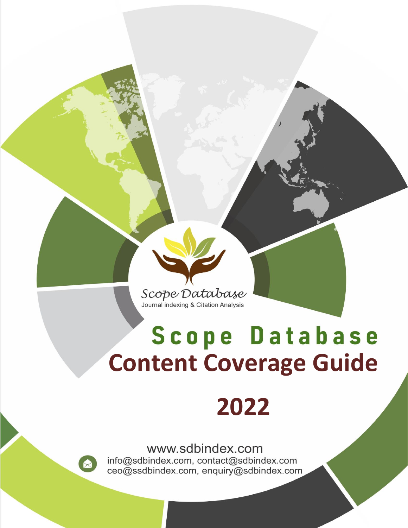Scope Database Journal indexing & Citation Analysis

# Scope Database **Content Coverage Guide**

## **2022**

www.sdbindex.com

info@sdbindex.com, contact@sdbindex.com ceo@ssdbindex.com, enquiry@sdbindex.com

X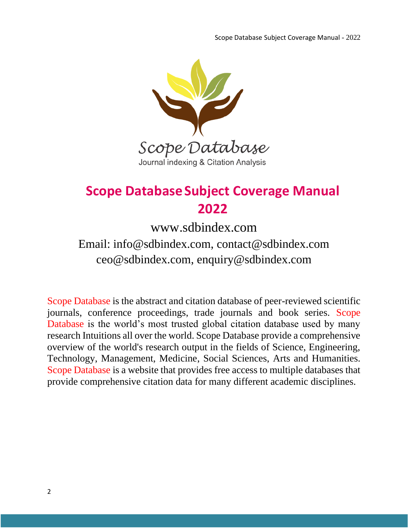

## **Scope Database Subject Coverage Manual 2022**

www.sdbindex.com

## Email: info@sdbindex.com, contact@sdbindex.com ceo@sdbindex.com, enquiry@sdbindex.com

Scope Database is the abstract and citation database of peer-reviewed scientific journals, conference proceedings, trade journals and book series. Scope Database is the world's most trusted global citation database used by many research Intuitions all over the world. Scope Database provide a comprehensive overview of the world's research output in the fields of Science, Engineering, Technology, Management, Medicine, Social Sciences, Arts and Humanities. Scope Database is a website that provides free access to multiple databases that provide comprehensive citation data for many different academic disciplines.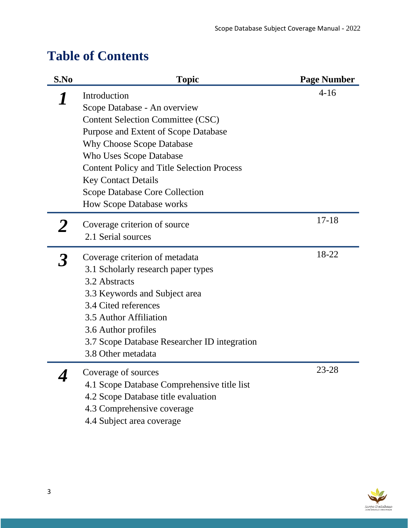## **Table of Contents**

| S.No | <b>Topic</b>                                                       | <b>Page Number</b> |
|------|--------------------------------------------------------------------|--------------------|
|      | Introduction                                                       | $4 - 16$           |
|      | Scope Database - An overview                                       |                    |
|      | <b>Content Selection Committee (CSC)</b>                           |                    |
|      | Purpose and Extent of Scope Database                               |                    |
|      | <b>Why Choose Scope Database</b>                                   |                    |
|      | <b>Who Uses Scope Database</b>                                     |                    |
|      | <b>Content Policy and Title Selection Process</b>                  |                    |
|      | <b>Key Contact Details</b>                                         |                    |
|      | <b>Scope Database Core Collection</b>                              |                    |
|      | <b>How Scope Database works</b>                                    |                    |
|      | Coverage criterion of source                                       | $17 - 18$          |
|      | 2.1 Serial sources                                                 |                    |
|      |                                                                    |                    |
|      | Coverage criterion of metadata                                     | 18-22              |
|      | 3.1 Scholarly research paper types                                 |                    |
|      | 3.2 Abstracts                                                      |                    |
|      | 3.3 Keywords and Subject area                                      |                    |
|      | 3.4 Cited references                                               |                    |
|      | 3.5 Author Affiliation                                             |                    |
|      | 3.6 Author profiles                                                |                    |
|      | 3.7 Scope Database Researcher ID integration<br>3.8 Other metadata |                    |
|      |                                                                    |                    |
|      | Coverage of sources                                                | 23-28              |
|      | 4.1 Scope Database Comprehensive title list                        |                    |
|      | 4.2 Scope Database title evaluation                                |                    |
|      | 4.3 Comprehensive coverage                                         |                    |
|      | 4.4 Subject area coverage                                          |                    |

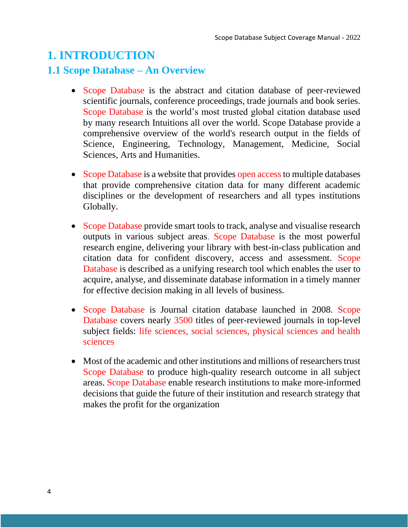## **1. INTRODUCTION**

#### **1.1 Scope Database – An Overview**

- Scope Database is the abstract and citation database of peer-reviewed scientific journals, conference proceedings, trade journals and book series. Scope Database is the world's most trusted global citation database used by many research Intuitions all over the world. Scope Database provide a comprehensive overview of the world's research output in the fields of Science, Engineering, Technology, Management, Medicine, Social Sciences, Arts and Humanities.
- Scope Database is a website that provides open access to multiple databases that provide comprehensive citation data for many different academic disciplines or the development of researchers and all types institutions Globally.
- Scope Database provide smart tools to track, analyse and visualise research outputs in various subject areas. Scope Database is the most powerful research engine, delivering your library with best-in-class publication and citation data for confident discovery, access and assessment. Scope Database is described as a unifying research tool which enables the user to acquire, analyse, and disseminate database information in a timely manner for effective decision making in all levels of business.
- Scope Database is Journal citation database launched in 2008. Scope Database covers nearly 3500 titles of peer-reviewed journals in top-level subject fields: life sciences, social sciences, physical sciences and health sciences
- Most of the academic and other institutions and millions of researchers trust Scope Database to produce high-quality research outcome in all subject areas. Scope Database enable research institutions to make more-informed decisions that guide the future of their institution and research strategy that makes the profit for the organization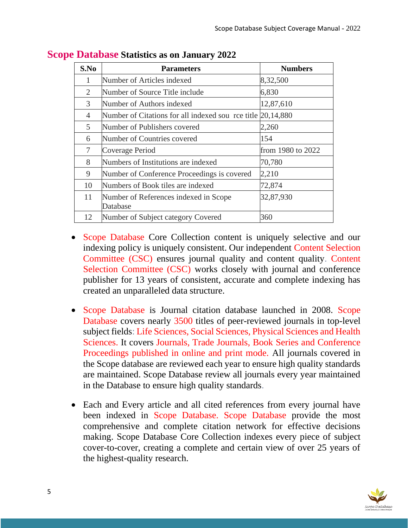| S.No           | <b>Parameters</b>                                           | <b>Numbers</b>    |
|----------------|-------------------------------------------------------------|-------------------|
| 1              | Number of Articles indexed                                  | 8,32,500          |
| 2              | Number of Source Title include                              | 6,830             |
| 3              | Number of Authors indexed                                   | 12,87,610         |
| $\overline{4}$ | Number of Citations for all indexed sou rce title 20,14,880 |                   |
| 5              | Number of Publishers covered                                | 2,260             |
| 6              | Number of Countries covered                                 | 154               |
| 7              | Coverage Period                                             | from 1980 to 2022 |
| 8              | Numbers of Institutions are indexed                         | 70,780            |
| 9              | Number of Conference Proceedings is covered                 | 2,210             |
| 10             | Numbers of Book tiles are indexed                           | 72,874            |
| 11             | Number of References indexed in Scope<br>Database           | 32,87,930         |
| 12             | Number of Subject category Covered                          | 360               |

**Scope Database Statistics as on January 2022**

- Scope Database Core Collection content is uniquely selective and our indexing policy is uniquely consistent. Our independent Content Selection Committee (CSC) ensures journal quality and content quality. Content Selection Committee (CSC) works closely with journal and conference publisher for 13 years of consistent, accurate and complete indexing has created an unparalleled data structure.
- Scope Database is Journal citation database launched in 2008. Scope Database covers nearly 3500 titles of peer-reviewed journals in top-level subject fields: Life Sciences, Social Sciences, Physical Sciences and Health Sciences. It covers Journals, Trade Journals, Book Series and Conference Proceedings published in online and print mode. All journals covered in the Scope database are reviewed each year to ensure high quality standards are maintained. Scope Database review all journals every year maintained in the Database to ensure high quality standards.
- Each and Every article and all cited references from every journal have been indexed in Scope Database. Scope Database provide the most comprehensive and complete citation network for effective decisions making. Scope Database Core Collection indexes every piece of subject cover-to-cover, creating a complete and certain view of over 25 years of the highest-quality research.

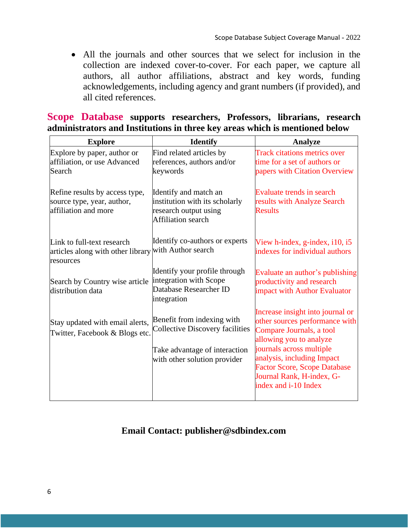• All the journals and other sources that we select for inclusion in the collection are indexed cover-to-cover. For each paper, we capture all authors, all author affiliations, abstract and key words, funding acknowledgements, including agency and grant numbers (if provided), and all cited references.

|  | Scope Database supports researchers, Professors, librarians, research       |  |  |
|--|-----------------------------------------------------------------------------|--|--|
|  | administrators and Institutions in three key areas which is mentioned below |  |  |

| <b>Explore</b>                                                                       | <b>Identify</b>                                                                                               | <b>Analyze</b>                                                                                                                                        |
|--------------------------------------------------------------------------------------|---------------------------------------------------------------------------------------------------------------|-------------------------------------------------------------------------------------------------------------------------------------------------------|
| Explore by paper, author or<br>affiliation, or use Advanced<br>Search                | Find related articles by<br>references, authors and/or<br>keywords                                            | <b>Track citations metrics over</b><br>time for a set of authors or<br>papers with Citation Overview                                                  |
| Refine results by access type,<br>source type, year, author,<br>affiliation and more | Identify and match an<br>institution with its scholarly<br>research output using<br><b>Affiliation</b> search | Evaluate trends in search<br>results with Analyze Search<br><b>Results</b>                                                                            |
| Link to full-text research<br>articles along with other library<br>resources         | Identify co-authors or experts<br>with Author search                                                          | View h-index, g-index, $i10$ , $i5$<br>indexes for individual authors                                                                                 |
| Search by Country wise article<br>distribution data                                  | Identify your profile through<br>integration with Scope<br>Database Researcher ID<br>integration              | Evaluate an author's publishing<br>productivity and research<br>impact with Author Evaluator                                                          |
| Stay updated with email alerts,<br>Twitter, Facebook & Blogs etc.                    | Benefit from indexing with<br><b>Collective Discovery facilities</b><br>Take advantage of interaction         | Increase insight into journal or<br>other sources performance with<br>Compare Journals, a tool<br>allowing you to analyze<br>journals across multiple |
|                                                                                      | with other solution provider                                                                                  | analysis, including Impact<br><b>Factor Score, Scope Database</b><br>Journal Rank, H-index, G-<br>index and i-10 Index                                |

#### **Email Contact: publisher@sdbindex.com**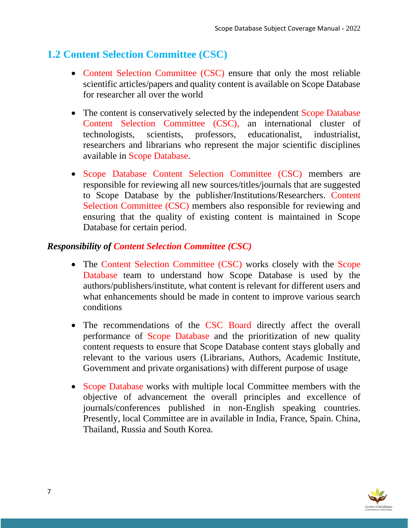## **1.2 Content Selection Committee (CSC)**

- Content Selection Committee (CSC) ensure that only the most reliable scientific articles/papers and quality content is available on Scope Database for researcher all over the world
- The content is conservatively selected by the independent Scope Database Content Selection Committee (CSC), an international cluster of technologists, scientists, professors, educationalist, industrialist, researchers and librarians who represent the major scientific disciplines available in Scope Database.
- Scope Database Content Selection Committee (CSC) members are responsible for reviewing all new sources/titles/journals that are suggested to Scope Database by the publisher/Institutions/Researchers. Content Selection Committee (CSC) members also responsible for reviewing and ensuring that the quality of existing content is maintained in Scope Database for certain period.

#### *Responsibility of Content Selection Committee (CSC)*

- The Content Selection Committee (CSC) works closely with the Scope Database team to understand how Scope Database is used by the authors/publishers/institute, what content is relevant for different users and what enhancements should be made in content to improve various search conditions
- The recommendations of the CSC Board directly affect the overall performance of Scope Database and the prioritization of new quality content requests to ensure that Scope Database content stays globally and relevant to the various users (Librarians, Authors, Academic Institute, Government and private organisations) with different purpose of usage
- Scope Database works with multiple local Committee members with the objective of advancement the overall principles and excellence of journals/conferences published in non-English speaking countries. Presently, local Committee are in available in India, France, Spain. China, Thailand, Russia and South Korea.

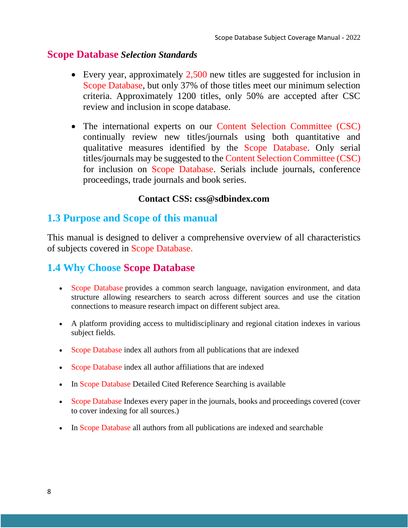#### **Scope Database** *Selection Standards*

- Every year, approximately 2,500 new titles are suggested for inclusion in Scope Database, but only 37% of those titles meet our minimum selection criteria. Approximately 1200 titles, only 50% are accepted after CSC review and inclusion in scope database.
- The international experts on our Content Selection Committee (CSC) continually review new titles/journals using both quantitative and qualitative measures identified by the Scope Database. Only serial titles/journals may be suggested to the Content Selection Committee (CSC) for inclusion on Scope Database. Serials include journals, conference proceedings, trade journals and book series.

#### **Contact CSS: css@sdbindex.com**

#### **1.3 Purpose and Scope of this manual**

This manual is designed to deliver a comprehensive overview of all characteristics of subjects covered in Scope Database.

#### **1.4 Why Choose Scope Database**

- Scope Database provides a common search language, navigation environment, and data structure allowing researchers to search across different sources and use the citation connections to measure research impact on different subject area.
- A platform providing access to multidisciplinary and regional citation indexes in various subject fields.
- Scope Database index all authors from all publications that are indexed
- Scope Database index all author affiliations that are indexed
- In Scope Database Detailed Cited Reference Searching is available
- Scope Database Indexes every paper in the journals, books and proceedings covered (cover to cover indexing for all sources.)
- In Scope Database all authors from all publications are indexed and searchable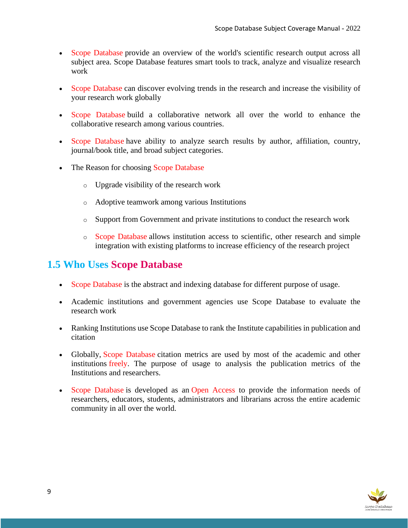- Scope Database provide an overview of the world's scientific research output across all subject area. Scope Database features smart tools to track, analyze and visualize research work
- Scope Database can discover evolving trends in the research and increase the visibility of your research work globally
- Scope Database build a collaborative network all over the world to enhance the collaborative research among various countries.
- Scope Database have ability to analyze search results by author, affiliation, country, journal/book title, and broad subject categories.
- The Reason for choosing Scope Database
	- o Upgrade visibility of the research work
	- o Adoptive teamwork among various Institutions
	- o Support from Government and private institutions to conduct the research work
	- o Scope Database allows institution access to scientific, other research and simple integration with existing platforms to increase efficiency of the research project

#### **1.5 Who Uses Scope Database**

- Scope Database is the abstract and indexing database for different purpose of usage.
- Academic institutions and government agencies use Scope Database to evaluate the research work
- Ranking Institutions use Scope Database to rank the Institute capabilities in publication and citation
- Globally, Scope Database citation metrics are used by most of the academic and other institutions freely. The purpose of usage to analysis the publication metrics of the Institutions and researchers.
- Scope Database is developed as an Open Access to provide the information needs of researchers, educators, students, administrators and librarians across the entire academic community in all over the world.

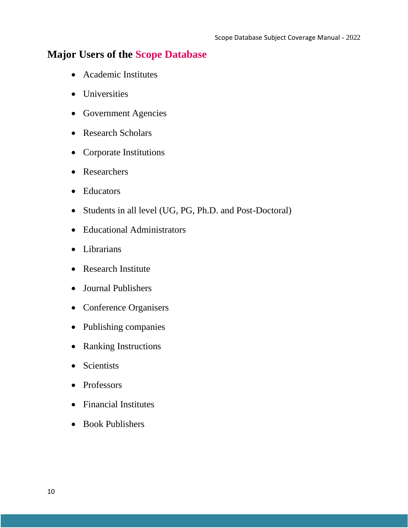#### **Major Users of the Scope Database**

- Academic Institutes
- Universities
- Government Agencies
- Research Scholars
- Corporate Institutions
- Researchers
- Educators
- Students in all level (UG, PG, Ph.D. and Post-Doctoral)
- Educational Administrators
- Librarians
- Research Institute
- Journal Publishers
- Conference Organisers
- Publishing companies
- Ranking Instructions
- Scientists
- Professors
- Financial Institutes
- Book Publishers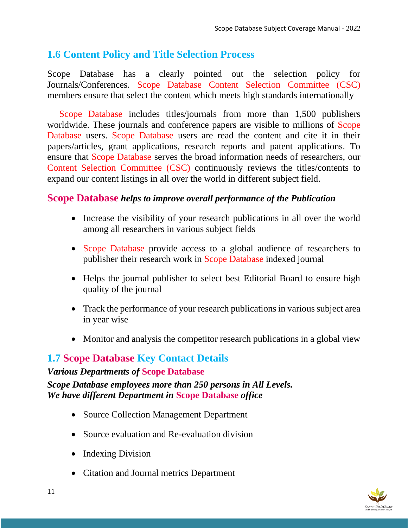## **1.6 Content Policy and Title Selection Process**

Scope Database has a clearly pointed out the selection policy for Journals/Conferences. Scope Database Content Selection Committee (CSC) members ensure that select the content which meets high standards internationally

Scope Database includes titles/journals from more than 1,500 publishers worldwide. These journals and conference papers are visible to millions of Scope Database users. Scope Database users are read the content and cite it in their papers/articles, grant applications, research reports and patent applications. To ensure that Scope Database serves the broad information needs of researchers, our Content Selection Committee (CSC) continuously reviews the titles/contents to expand our content listings in all over the world in different subject field.

#### **Scope Database** *helps to improve overall performance of the Publication*

- Increase the visibility of your research publications in all over the world among all researchers in various subject fields
- Scope Database provide access to a global audience of researchers to publisher their research work in Scope Database indexed journal
- Helps the journal publisher to select best Editorial Board to ensure high quality of the journal
- Track the performance of your research publications in various subject area in year wise
- Monitor and analysis the competitor research publications in a global view

## **1.7 Scope Database Key Contact Details**

*Various Departments of* **Scope Database** *Scope Database employees more than 250 persons in All Levels. We have different Department in* **Scope Database** *office*

- Source Collection Management Department
- Source evaluation and Re-evaluation division
- Indexing Division
- Citation and Journal metrics Department

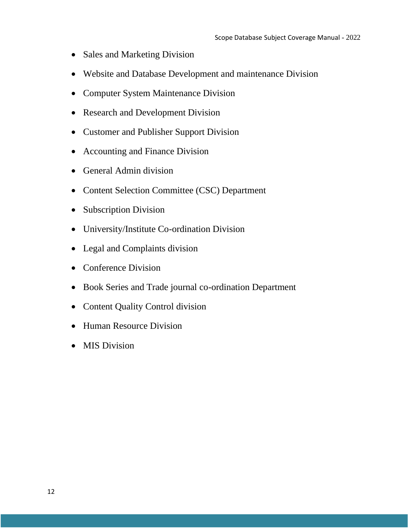- Sales and Marketing Division
- Website and Database Development and maintenance Division
- Computer System Maintenance Division
- Research and Development Division
- Customer and Publisher Support Division
- Accounting and Finance Division
- General Admin division
- Content Selection Committee (CSC) Department
- Subscription Division
- University/Institute Co-ordination Division
- Legal and Complaints division
- Conference Division
- Book Series and Trade journal co-ordination Department
- Content Quality Control division
- Human Resource Division
- MIS Division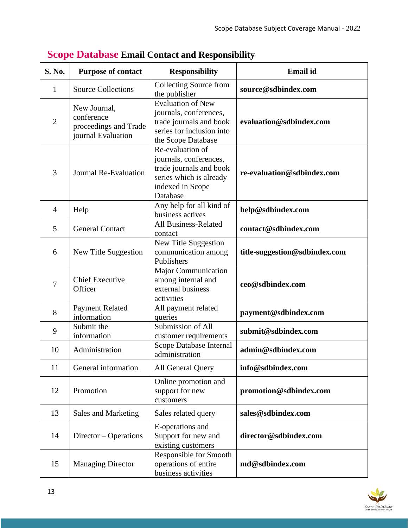| S. No.         | <b>Purpose of contact</b>                                                 | <b>Responsibility</b>                                                                                                            | <b>Email</b> id               |
|----------------|---------------------------------------------------------------------------|----------------------------------------------------------------------------------------------------------------------------------|-------------------------------|
| $\mathbf{1}$   | <b>Source Collections</b>                                                 | <b>Collecting Source from</b><br>the publisher                                                                                   | source@sdbindex.com           |
| $\overline{2}$ | New Journal,<br>conference<br>proceedings and Trade<br>journal Evaluation | <b>Evaluation of New</b><br>journals, conferences,<br>trade journals and book<br>series for inclusion into<br>the Scope Database | evaluation@sdbindex.com       |
| 3              | Journal Re-Evaluation                                                     | Re-evaluation of<br>journals, conferences,<br>trade journals and book<br>series which is already<br>indexed in Scope<br>Database | re-evaluation@sdbindex.com    |
| $\overline{4}$ | Help                                                                      | Any help for all kind of<br>business actives                                                                                     | help@sdbindex.com             |
| 5              | <b>General Contact</b>                                                    | <b>All Business-Related</b><br>contact                                                                                           | contact@sdbindex.com          |
| 6              | New Title Suggestion                                                      | New Title Suggestion<br>communication among<br>Publishers                                                                        | title-suggestion@sdbindex.com |
| $\overline{7}$ | <b>Chief Executive</b><br>Officer                                         | Major Communication<br>among internal and<br>external business<br>activities                                                     | ceo@sdbindex.com              |
| 8              | <b>Payment Related</b><br>information                                     | All payment related<br>queries                                                                                                   | payment@sdbindex.com          |
| 9              | Submit the<br>information                                                 | Submission of All<br>customer requirements                                                                                       | submit@sdbindex.com           |
| 10             | Administration                                                            | Scope Database Internal<br>administration                                                                                        | admin@sdbindex.com            |
| 11             | General information                                                       | All General Query                                                                                                                | info@sdbindex.com             |
| 12             | Promotion                                                                 | Online promotion and<br>support for new<br>customers                                                                             | promotion@sdbindex.com        |
| 13             | Sales and Marketing                                                       | Sales related query                                                                                                              | sales@sdbindex.com            |
| 14             | Director – Operations                                                     | E-operations and<br>Support for new and<br>existing customers                                                                    | director@sdbindex.com         |
| 15             | <b>Managing Director</b>                                                  | Responsible for Smooth<br>operations of entire<br>business activities                                                            | md@sdbindex.com               |

## **Scope Database Email Contact and Responsibility**

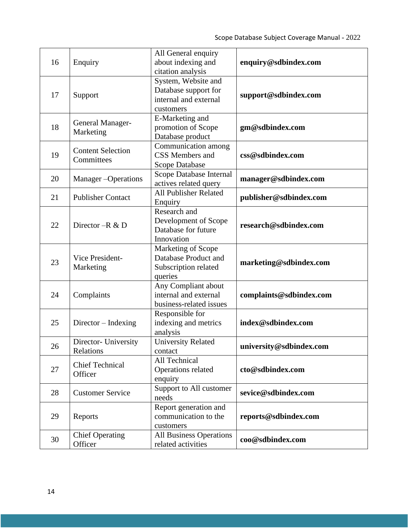| 16 | Enquiry                           | All General enquiry            |                         |
|----|-----------------------------------|--------------------------------|-------------------------|
|    |                                   | about indexing and             | enquiry@sdbindex.com    |
|    |                                   | citation analysis              |                         |
|    |                                   | System, Website and            |                         |
| 17 | Support                           | Database support for           | support@sdbindex.com    |
|    |                                   | internal and external          |                         |
|    |                                   | customers                      |                         |
|    | General Manager-<br>Marketing     | E-Marketing and                |                         |
| 18 |                                   | promotion of Scope             | gm@sdbindex.com         |
|    |                                   | Database product               |                         |
|    | <b>Content Selection</b>          | Communication among            |                         |
| 19 | Committees                        | CSS Members and                | css@sdbindex.com        |
|    |                                   | Scope Database                 |                         |
| 20 | Manager-Operations                | Scope Database Internal        | manager@sdbindex.com    |
|    |                                   | actives related query          |                         |
| 21 | <b>Publisher Contact</b>          | <b>All Publisher Related</b>   | publisher@sdbindex.com  |
|    |                                   | Enquiry                        |                         |
|    |                                   | Research and                   |                         |
| 22 | Director - R & D                  | Development of Scope           | research@sdbindex.com   |
|    |                                   | Database for future            |                         |
|    |                                   | Innovation                     |                         |
|    |                                   | Marketing of Scope             |                         |
| 23 | Vice President-<br>Marketing      | Database Product and           | marketing@sdbindex.com  |
|    |                                   | Subscription related           |                         |
|    |                                   | queries                        |                         |
|    |                                   | Any Compliant about            |                         |
| 24 | Complaints                        | internal and external          | complaints@sdbindex.com |
|    |                                   | business-related issues        |                         |
|    |                                   | Responsible for                |                         |
| 25 | Director - Indexing               | indexing and metrics           | index@sdbindex.com      |
|    |                                   | analysis                       |                         |
|    | Director- University              | <b>University Related</b>      |                         |
| 26 | Relations                         | contact                        | university@sdbindex.com |
|    | <b>Chief Technical</b><br>Officer | All Technical                  |                         |
| 27 |                                   | Operations related             | cto@sdbindex.com        |
|    |                                   | enquiry                        |                         |
|    |                                   | Support to All customer        |                         |
| 28 | <b>Customer Service</b>           | needs                          | sevice@sdbindex.com     |
| 29 | Reports                           | Report generation and          |                         |
|    |                                   | communication to the           | reports@sdbindex.com    |
|    |                                   | customers                      |                         |
| 30 | <b>Chief Operating</b>            | <b>All Business Operations</b> |                         |
|    | Officer                           | related activities             | coo@sdbindex.com        |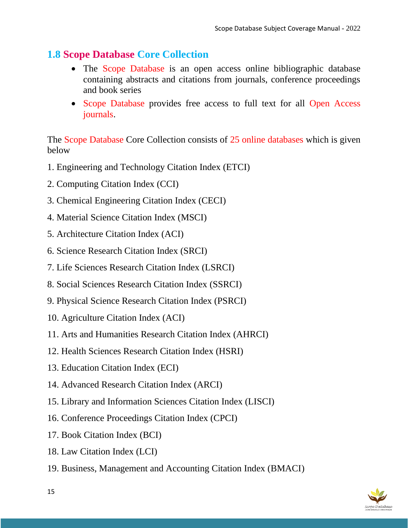#### **1.8 Scope Database Core Collection**

- The Scope Database is an open access online bibliographic database containing abstracts and citations from journals, conference proceedings and book series
- Scope Database provides free access to full text for all Open Access journals.

The Scope Database Core Collection consists of 25 online databases which is given below

- 1. Engineering and Technology Citation Index (ETCI)
- 2. Computing Citation Index (CCI)
- 3. Chemical Engineering Citation Index (CECI)
- 4. Material Science Citation Index (MSCI)
- 5. Architecture Citation Index (ACI)
- 6. Science Research Citation Index (SRCI)
- 7. Life Sciences Research Citation Index (LSRCI)
- 8. Social Sciences Research Citation Index (SSRCI)
- 9. Physical Science Research Citation Index (PSRCI)
- 10. Agriculture Citation Index (ACI)
- 11. Arts and Humanities Research Citation Index (AHRCI)
- 12. Health Sciences Research Citation Index (HSRI)
- 13. Education Citation Index (ECI)
- 14. Advanced Research Citation Index (ARCI)
- 15. Library and Information Sciences Citation Index (LISCI)
- 16. Conference Proceedings Citation Index (CPCI)
- 17. Book Citation Index (BCI)
- 18. Law Citation Index (LCI)
- 19. Business, Management and Accounting Citation Index (BMACI)

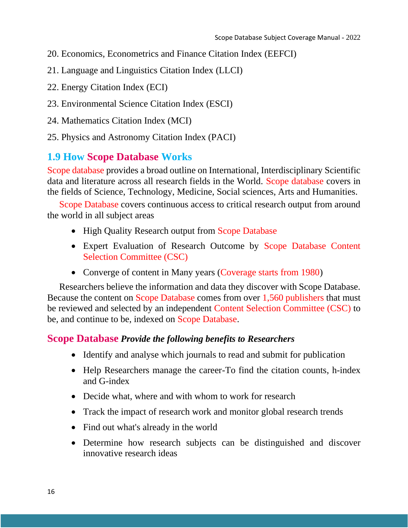- 20. Economics, Econometrics and Finance Citation Index (EEFCI)
- 21. Language and Linguistics Citation Index (LLCI)
- 22. Energy Citation Index (ECI)
- 23. Environmental Science Citation Index (ESCI)
- 24. Mathematics Citation Index (MCI)
- 25. Physics and Astronomy Citation Index (PACI)

#### **1.9 How Scope Database Works**

Scope database provides a broad outline on International, Interdisciplinary Scientific data and literature across all research fields in the World. Scope database covers in the fields of Science, Technology, Medicine, Social sciences, Arts and Humanities.

Scope Database covers continuous access to critical research output from around the world in all subject areas

- High Quality Research output from Scope Database
- Expert Evaluation of Research Outcome by Scope Database Content Selection Committee (CSC)
- Converge of content in Many years (Coverage starts from 1980)

Researchers believe the information and data they discover with Scope Database. Because the content on Scope Database comes from over 1,560 publishers that must be reviewed and selected by an independent Content Selection Committee (CSC) to be, and continue to be, indexed on Scope Database.

#### **Scope Database** *Provide the following benefits to Researchers*

- Identify and analyse which journals to read and submit for publication
- Help Researchers manage the career-To find the citation counts, h-index and G-index
- Decide what, where and with whom to work for research
- Track the impact of research work and monitor global research trends
- Find out what's already in the world
- Determine how research subjects can be distinguished and discover innovative research ideas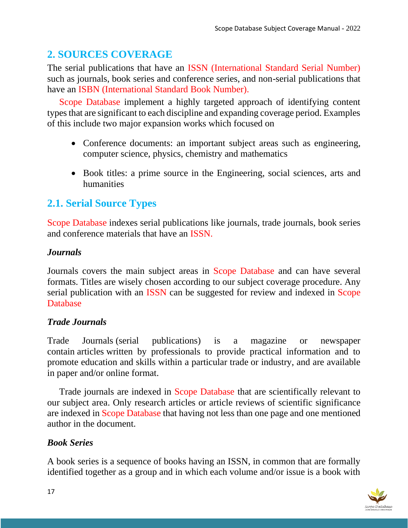## **2. SOURCES COVERAGE**

The serial publications that have an ISSN (International Standard Serial Number) such as journals, book series and conference series, and non-serial publications that have an ISBN (International Standard Book Number).

Scope Database implement a highly targeted approach of identifying content types that are significant to each discipline and expanding coverage period. Examples of this include two major expansion works which focused on

- Conference documents: an important subject areas such as engineering, computer science, physics, chemistry and mathematics
- Book titles: a prime source in the Engineering, social sciences, arts and humanities

## **2.1. Serial Source Types**

Scope Database indexes serial publications like journals, trade journals, book series and conference materials that have an ISSN.

#### *Journals*

Journals covers the main subject areas in Scope Database and can have several formats. Titles are wisely chosen according to our subject coverage procedure. Any serial publication with an ISSN can be suggested for review and indexed in Scope Database

#### *Trade Journals*

Trade Journals (serial publications) is a magazine or newspaper contain articles written by professionals to provide practical information and to promote education and skills within a particular trade or industry, and are available in paper and/or online format.

Trade journals are indexed in Scope Database that are scientifically relevant to our subject area. Only research articles or article reviews of scientific significance are indexed in Scope Database that having not less than one page and one mentioned author in the document.

#### *Book Series*

A book series is a sequence of books having an ISSN, in common that are formally identified together as a group and in which each volume and/or issue is a book with

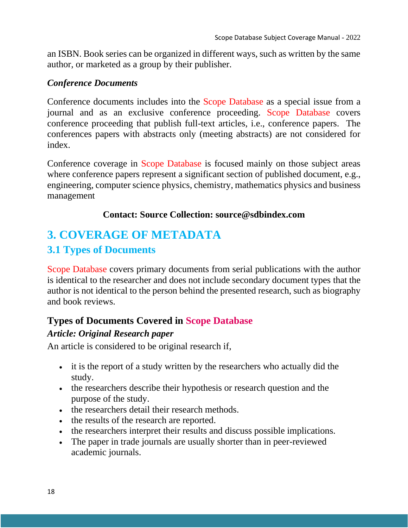an ISBN. Book series can be organized in different ways, such as written by the same author, or marketed as a group by their publisher.

#### *Conference Documents*

Conference documents includes into the Scope Database as a special issue from a journal and as an exclusive conference proceeding. Scope Database covers conference proceeding that publish full-text articles, i.e., conference papers. The conferences papers with abstracts only (meeting abstracts) are not considered for index.

Conference coverage in Scope Database is focused mainly on those subject areas where conference papers represent a significant section of published document, e.g., engineering, computer science physics, chemistry, mathematics physics and business management

#### **Contact: Source Collection: source@sdbindex.com**

## **3. COVERAGE OF METADATA**

#### **3.1 Types of Documents**

Scope Database covers primary documents from serial publications with the author is identical to the researcher and does not include secondary document types that the author is not identical to the person behind the presented research, such as biography and book reviews.

#### **Types of Documents Covered in Scope Database**

#### *Article: Original Research paper*

An article is considered to be original research if,

- it is the report of a study written by the researchers who actually did the study.
- the researchers describe their hypothesis or research question and the purpose of the study.
- the researchers detail their research methods.
- the results of the research are reported.
- the researchers interpret their results and discuss possible implications.
- The paper in trade journals are usually shorter than in peer-reviewed academic journals.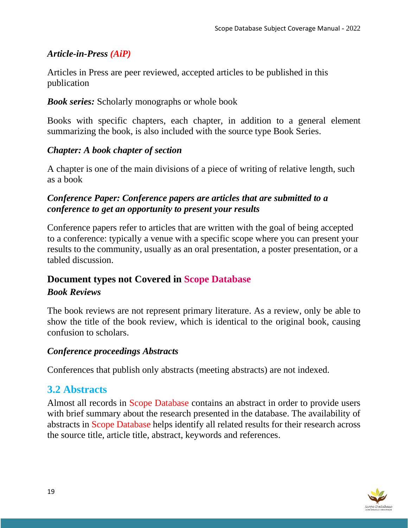#### *Article-in-Press (AiP)*

Articles in Press are peer reviewed, accepted articles to be published in this publication

#### *Book series:* Scholarly monographs or whole book

Books with specific chapters, each chapter, in addition to a general element summarizing the book, is also included with the source type Book Series.

#### *Chapter: A book chapter of section*

A chapter is one of the main divisions of a piece of writing of relative length, such as a book

#### *Conference Paper: Conference papers are articles that are submitted to a conference to get an opportunity to present your results*

Conference papers refer to articles that are written with the goal of being accepted to a conference: typically a venue with a specific scope where you can present your results to the community, usually as an oral presentation, a poster presentation, or a tabled discussion.

## **Document types not Covered in Scope Database**

#### *Book Reviews*

The book reviews are not represent primary literature. As a review, only be able to show the title of the book review, which is identical to the original book, causing confusion to scholars.

#### *Conference proceedings Abstracts*

Conferences that publish only abstracts (meeting abstracts) are not indexed.

#### **3.2 Abstracts**

Almost all records in Scope Database contains an abstract in order to provide users with brief summary about the research presented in the database. The availability of abstracts in Scope Database helps identify all related results for their research across the source title, article title, abstract, keywords and references.

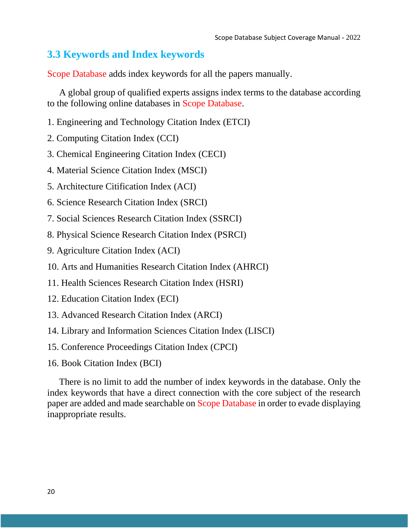## **3.3 Keywords and Index keywords**

Scope Database adds index keywords for all the papers manually.

A global group of qualified experts assigns index terms to the database according to the following online databases in Scope Database.

- 1. Engineering and Technology Citation Index (ETCI)
- 2. Computing Citation Index (CCI)
- 3. Chemical Engineering Citation Index (CECI)
- 4. Material Science Citation Index (MSCI)
- 5. Architecture Citification Index (ACI)
- 6. Science Research Citation Index (SRCI)
- 7. Social Sciences Research Citation Index (SSRCI)
- 8. Physical Science Research Citation Index (PSRCI)
- 9. Agriculture Citation Index (ACI)
- 10. Arts and Humanities Research Citation Index (AHRCI)
- 11. Health Sciences Research Citation Index (HSRI)
- 12. Education Citation Index (ECI)
- 13. Advanced Research Citation Index (ARCI)
- 14. Library and Information Sciences Citation Index (LISCI)
- 15. Conference Proceedings Citation Index (CPCI)
- 16. Book Citation Index (BCI)

There is no limit to add the number of index keywords in the database. Only the index keywords that have a direct connection with the core subject of the research paper are added and made searchable on Scope Database in order to evade displaying inappropriate results.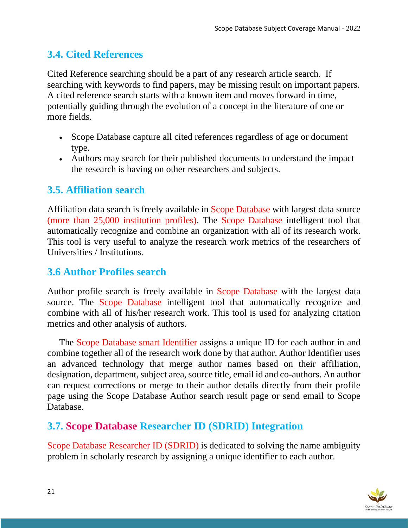## **3.4. Cited References**

Cited Reference searching should be a part of any research article search. If searching with keywords to find papers, may be missing result on important papers. A cited reference search starts with a known item and moves forward in time, potentially guiding through the evolution of a concept in the literature of one or more fields.

- Scope Database capture all cited references regardless of age or document type.
- Authors may search for their published documents to understand the impact the research is having on other researchers and subjects.

#### **3.5. Affiliation search**

Affiliation data search is freely available in Scope Database with largest data source (more than 25,000 institution profiles). The Scope Database intelligent tool that automatically recognize and combine an organization with all of its research work. This tool is very useful to analyze the research work metrics of the researchers of Universities / Institutions.

#### **3.6 Author Profiles search**

Author profile search is freely available in Scope Database with the largest data source. The Scope Database intelligent tool that automatically recognize and combine with all of his/her research work. This tool is used for analyzing citation metrics and other analysis of authors.

The Scope Database smart Identifier assigns a unique ID for each author in and combine together all of the research work done by that author. Author Identifier uses an advanced technology that merge author names based on their affiliation, designation, department, subject area, source title, email id and co-authors. An author can request corrections or merge to their author details directly from their profile page using the Scope Database Author search result page or send email to Scope Database.

## **3.7. Scope Database Researcher ID (SDRID) Integration**

Scope Database Researcher ID (SDRID) is dedicated to solving the name ambiguity problem in scholarly research by assigning a unique identifier to each author.

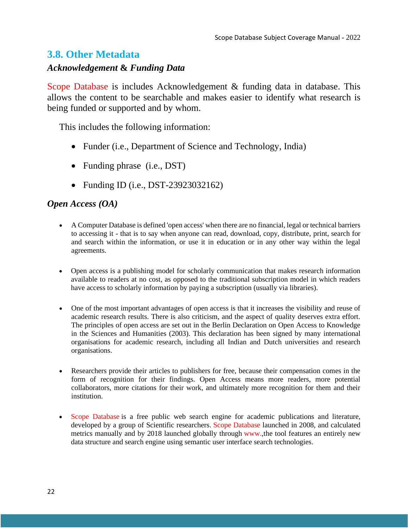#### **3.8. Other Metadata**

#### *Acknowledgement* **&** *Funding Data*

Scope Database is includes Acknowledgement & funding data in database. This allows the content to be searchable and makes easier to identify what research is being funded or supported and by whom.

This includes the following information:

- Funder (i.e., Department of Science and Technology, India)
- Funding phrase (i.e., DST)
- Funding ID (i.e., DST-23923032162)

#### *Open Access (OA)*

- A Computer Database is defined 'open access' when there are no financial, legal or technical barriers to accessing it - that is to say when anyone can read, download, copy, distribute, print, search for and search within the information, or use it in education or in any other way within the legal agreements.
- Open access is a publishing model for scholarly communication that makes research information available to readers at no cost, as opposed to the traditional subscription model in which readers have access to scholarly information by paying a subscription (usually via libraries).
- One of the most important advantages of open access is that it increases the visibility and reuse of academic research results. There is also criticism, and the aspect of quality deserves extra effort. The principles of open access are set out in the Berlin Declaration on Open Access to Knowledge in the Sciences and Humanities (2003). This declaration has been signed by many international organisations for academic research, including all Indian and Dutch universities and research organisations.
- Researchers provide their articles to publishers for free, because their compensation comes in the form of recognition for their findings. Open Access means more readers, more potential collaborators, more citations for their work, and ultimately more recognition for them and their institution.
- Scope Database is a free public web search engine for academic publications and literature, developed by a group of Scientific researchers. Scope Database launched in 2008, and calculated metrics manually and by 2018 launched globally through www.,the tool features an entirely new data structure and search engine using semantic user interface search technologies.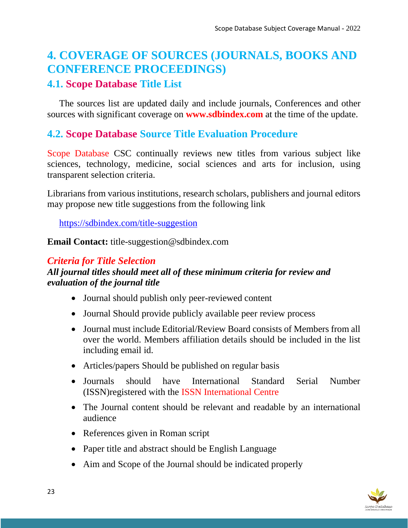## **4. COVERAGE OF SOURCES (JOURNALS, BOOKS AND CONFERENCE PROCEEDINGS)**

#### **4.1. Scope Database Title List**

The sources list are updated daily and include journals, Conferences and other sources with significant coverage on **www.sdbindex.com** at the time of the update.

#### **4.2. Scope Database Source Title Evaluation Procedure**

Scope Database CSC continually reviews new titles from various subject like sciences, technology, medicine, social sciences and arts for inclusion, using transparent selection criteria.

Librarians from various institutions, research scholars, publishers and journal editors may propose new title suggestions from the following link

[https://sdbindex.com/title-suggestion](https://scopedatabase.com/title-suggestion)

**Email Contact:** title-suggestion@sdbindex.com

#### *Criteria for Title Selection*

#### *All journal titles should meet all of these minimum criteria for review and evaluation of the journal title*

- Journal should publish only peer-reviewed content
- Journal Should provide publicly available peer review process
- Journal must include Editorial/Review Board consists of Members from all over the world. Members affiliation details should be included in the list including email id.
- Articles/papers Should be published on regular basis
- Journals should have International Standard Serial Number (ISSN)registered with the ISSN International Centre
- The Journal content should be relevant and readable by an international audience
- References given in Roman script
- Paper title and abstract should be English Language
- Aim and Scope of the Journal should be indicated properly

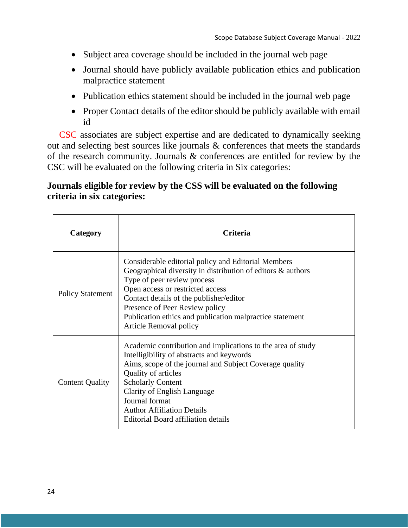- Subject area coverage should be included in the journal web page
- Journal should have publicly available publication ethics and publication malpractice statement
- Publication ethics statement should be included in the journal web page
- Proper Contact details of the editor should be publicly available with email id

CSC associates are subject expertise and are dedicated to dynamically seeking out and selecting best sources like journals & conferences that meets the standards of the research community. Journals & conferences are entitled for review by the CSC will be evaluated on the following criteria in Six categories:

#### **Journals eligible for review by the CSS will be evaluated on the following criteria in six categories:**

| Category                | <b>Criteria</b>                                                                                                                                                                                                                                                                                                                                             |
|-------------------------|-------------------------------------------------------------------------------------------------------------------------------------------------------------------------------------------------------------------------------------------------------------------------------------------------------------------------------------------------------------|
| <b>Policy Statement</b> | Considerable editorial policy and Editorial Members<br>Geographical diversity in distribution of editors $\&$ authors<br>Type of peer review process<br>Open access or restricted access<br>Contact details of the publisher/editor<br>Presence of Peer Review policy<br>Publication ethics and publication malpractice statement<br>Article Removal policy |
| <b>Content Quality</b>  | Academic contribution and implications to the area of study<br>Intelligibility of abstracts and keywords<br>Aims, scope of the journal and Subject Coverage quality<br>Quality of articles<br><b>Scholarly Content</b><br>Clarity of English Language<br>Journal format<br><b>Author Affiliation Details</b><br><b>Editorial Board affiliation details</b>  |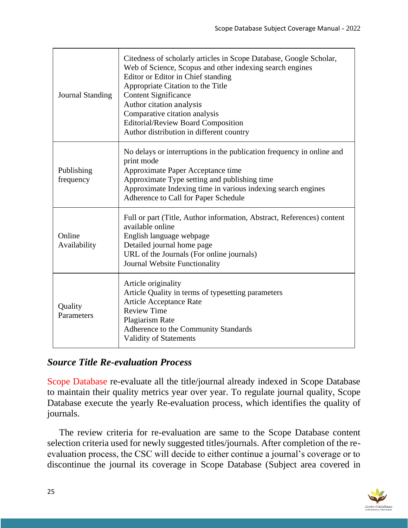| <b>Journal Standing</b> | Citedness of scholarly articles in Scope Database, Google Scholar,<br>Web of Science, Scopus and other indexing search engines<br>Editor or Editor in Chief standing<br>Appropriate Citation to the Title<br><b>Content Significance</b><br>Author citation analysis<br>Comparative citation analysis<br>Editorial/Review Board Composition<br>Author distribution in different country |
|-------------------------|-----------------------------------------------------------------------------------------------------------------------------------------------------------------------------------------------------------------------------------------------------------------------------------------------------------------------------------------------------------------------------------------|
| Publishing<br>frequency | No delays or interruptions in the publication frequency in online and<br>print mode<br>Approximate Paper Acceptance time<br>Approximate Type setting and publishing time<br>Approximate Indexing time in various indexing search engines<br>Adherence to Call for Paper Schedule                                                                                                        |
| Online<br>Availability  | Full or part (Title, Author information, Abstract, References) content<br>available online<br>English language webpage<br>Detailed journal home page<br>URL of the Journals (For online journals)<br>Journal Website Functionality                                                                                                                                                      |
| Quality<br>Parameters   | Article originality<br>Article Quality in terms of typesetting parameters<br>Article Acceptance Rate<br><b>Review Time</b><br><b>Plagiarism Rate</b><br>Adherence to the Community Standards<br><b>Validity of Statements</b>                                                                                                                                                           |

#### *Source Title Re-evaluation Process*

Scope Database re-evaluate all the title/journal already indexed in Scope Database to maintain their quality metrics year over year. To regulate journal quality, Scope Database execute the yearly Re-evaluation process, which identifies the quality of journals.

The review criteria for re-evaluation are same to the Scope Database content selection criteria used for newly suggested titles/journals. After completion of the reevaluation process, the CSC will decide to either continue a journal's coverage or to discontinue the journal its coverage in Scope Database (Subject area covered in

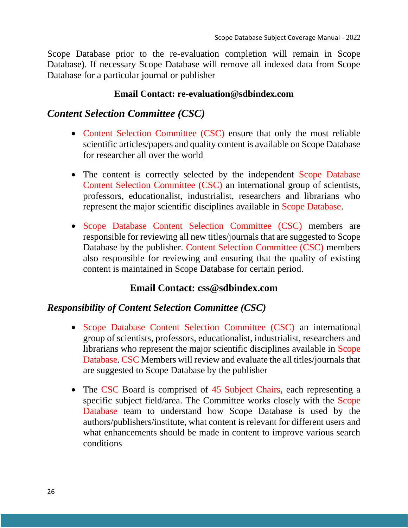Scope Database prior to the re-evaluation completion will remain in Scope Database). If necessary Scope Database will remove all indexed data from Scope Database for a particular journal or publisher

#### **Email Contact: re-evaluation@sdbindex.com**

#### *Content Selection Committee (CSC)*

- Content Selection Committee (CSC) ensure that only the most reliable scientific articles/papers and quality content is available on Scope Database for researcher all over the world
- The content is correctly selected by the independent Scope Database Content Selection Committee (CSC) an international group of scientists, professors, educationalist, industrialist, researchers and librarians who represent the major scientific disciplines available in Scope Database.
- Scope Database Content Selection Committee (CSC) members are responsible for reviewing all new titles/journals that are suggested to Scope Database by the publisher. Content Selection Committee (CSC) members also responsible for reviewing and ensuring that the quality of existing content is maintained in Scope Database for certain period.

#### **Email Contact: [css@sdbindex.com](mailto:css@scopedatabase.com)**

#### *Responsibility of Content Selection Committee (CSC)*

- Scope Database Content Selection Committee (CSC) an international group of scientists, professors, educationalist, industrialist, researchers and librarians who represent the major scientific disciplines available in Scope Database. CSC Members will review and evaluate the all titles/journals that are suggested to Scope Database by the publisher
- The CSC Board is comprised of 45 Subject Chairs, each representing a specific subject field/area. The Committee works closely with the Scope Database team to understand how Scope Database is used by the authors/publishers/institute, what content is relevant for different users and what enhancements should be made in content to improve various search conditions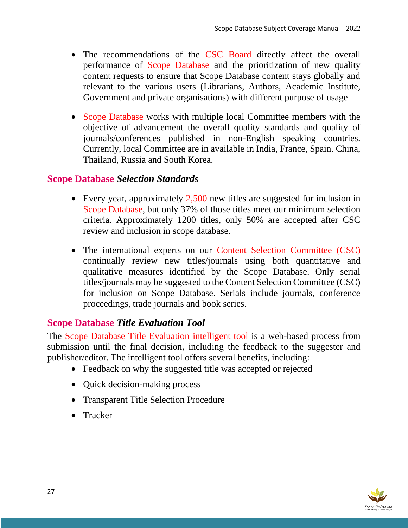- The recommendations of the CSC Board directly affect the overall performance of Scope Database and the prioritization of new quality content requests to ensure that Scope Database content stays globally and relevant to the various users (Librarians, Authors, Academic Institute, Government and private organisations) with different purpose of usage
- Scope Database works with multiple local Committee members with the objective of advancement the overall quality standards and quality of journals/conferences published in non-English speaking countries. Currently, local Committee are in available in India, France, Spain. China, Thailand, Russia and South Korea.

#### **Scope Database** *Selection Standards*

- Every year, approximately 2,500 new titles are suggested for inclusion in Scope Database, but only 37% of those titles meet our minimum selection criteria. Approximately 1200 titles, only 50% are accepted after CSC review and inclusion in scope database.
- The international experts on our Content Selection Committee (CSC) continually review new titles/journals using both quantitative and qualitative measures identified by the Scope Database. Only serial titles/journals may be suggested to the Content Selection Committee (CSC) for inclusion on Scope Database. Serials include journals, conference proceedings, trade journals and book series.

#### **Scope Database** *Title Evaluation Tool*

The Scope Database Title Evaluation intelligent tool is a web-based process from submission until the final decision, including the feedback to the suggester and publisher/editor. The intelligent tool offers several benefits, including:

- Feedback on why the suggested title was accepted or rejected
- Quick decision-making process
- Transparent Title Selection Procedure
- Tracker